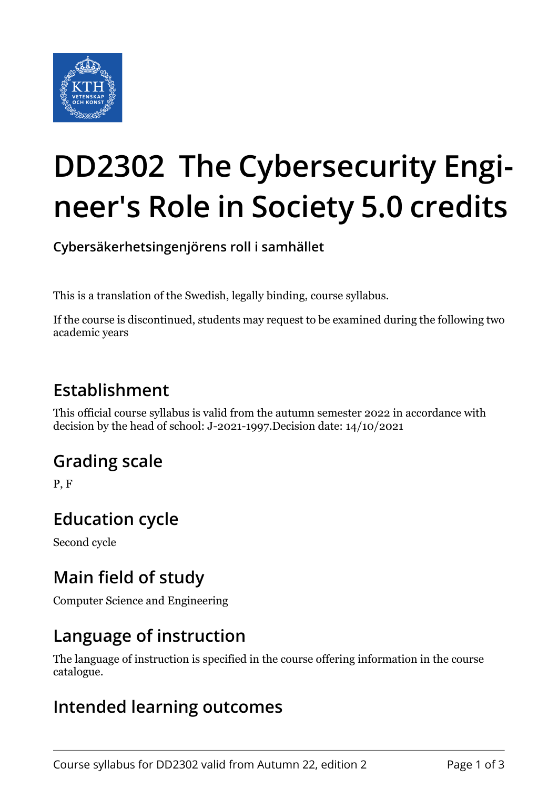

# **DD2302 The Cybersecurity Engineer's Role in Society 5.0 credits**

**Cybersäkerhetsingenjörens roll i samhället**

This is a translation of the Swedish, legally binding, course syllabus.

If the course is discontinued, students may request to be examined during the following two academic years

## **Establishment**

This official course syllabus is valid from the autumn semester 2022 in accordance with decision by the head of school: J-2021-1997.Decision date: 14/10/2021

## **Grading scale**

P, F

#### **Education cycle**

Second cycle

## **Main field of study**

Computer Science and Engineering

#### **Language of instruction**

The language of instruction is specified in the course offering information in the course catalogue.

#### **Intended learning outcomes**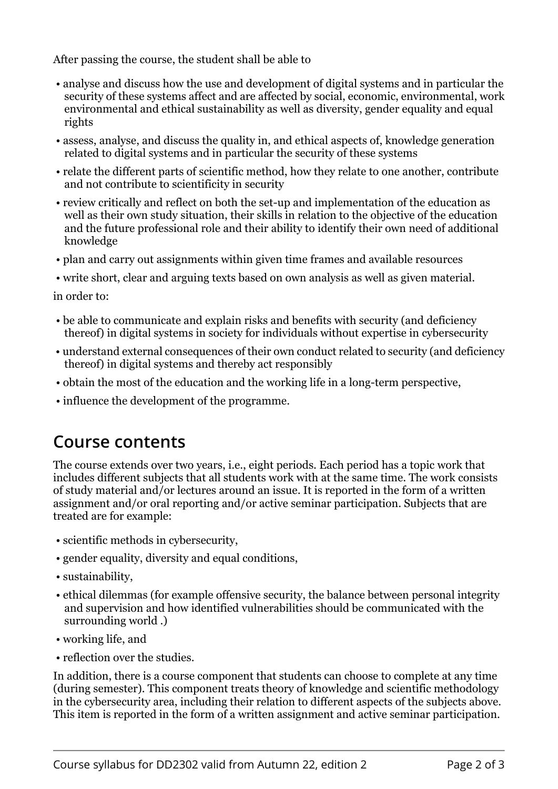After passing the course, the student shall be able to

- analyse and discuss how the use and development of digital systems and in particular the security of these systems affect and are affected by social, economic, environmental, work environmental and ethical sustainability as well as diversity, gender equality and equal rights
- assess, analyse, and discuss the quality in, and ethical aspects of, knowledge generation related to digital systems and in particular the security of these systems
- relate the different parts of scientific method, how they relate to one another, contribute and not contribute to scientificity in security
- review critically and reflect on both the set-up and implementation of the education as well as their own study situation, their skills in relation to the objective of the education and the future professional role and their ability to identify their own need of additional knowledge
- plan and carry out assignments within given time frames and available resources
- write short, clear and arguing texts based on own analysis as well as given material.

in order to:

- be able to communicate and explain risks and benefits with security (and deficiency thereof) in digital systems in society for individuals without expertise in cybersecurity
- understand external consequences of their own conduct related to security (and deficiency thereof) in digital systems and thereby act responsibly
- obtain the most of the education and the working life in a long-term perspective,
- influence the development of the programme.

#### **Course contents**

The course extends over two years, i.e., eight periods. Each period has a topic work that includes different subjects that all students work with at the same time. The work consists of study material and/or lectures around an issue. It is reported in the form of a written assignment and/or oral reporting and/or active seminar participation. Subjects that are treated are for example:

- scientific methods in cybersecurity,
- gender equality, diversity and equal conditions,
- sustainability,
- ethical dilemmas (for example offensive security, the balance between personal integrity and supervision and how identified vulnerabilities should be communicated with the surrounding world .)
- working life, and
- reflection over the studies.

In addition, there is a course component that students can choose to complete at any time (during semester). This component treats theory of knowledge and scientific methodology in the cybersecurity area, including their relation to different aspects of the subjects above. This item is reported in the form of a written assignment and active seminar participation.